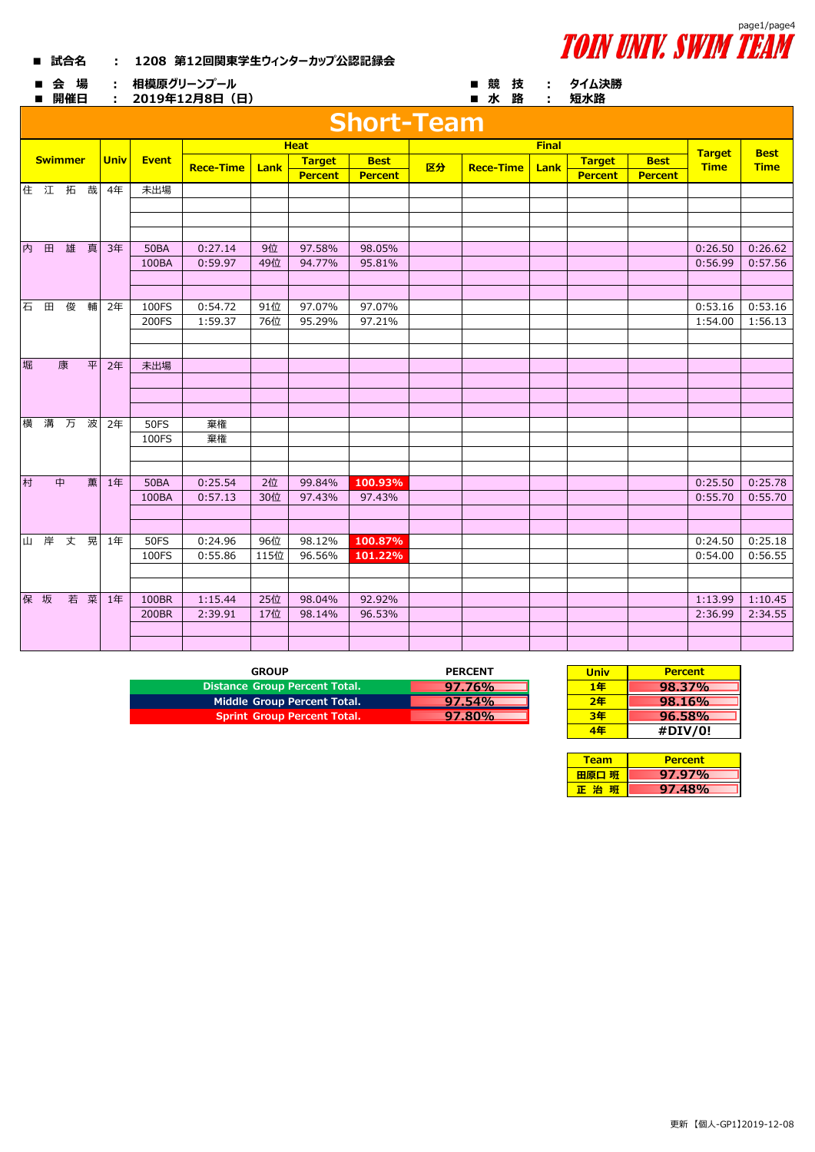## **■ 試合名 : 1208 第12回関東学生ウィンターカップ公認記録会**



**タイム決勝**

■ 会 場 : 相模原グリーンプール ■ 競 技 : **相模原グリーンプール**

## **2019年12月8日(日)**

|   |     | ■ 開催日          |   |             |              | : 2019年12月8日(日)  |      |                |                   |    | ■ 水 路            | $\sim 100$   | 短水路            |                |                              |                            |
|---|-----|----------------|---|-------------|--------------|------------------|------|----------------|-------------------|----|------------------|--------------|----------------|----------------|------------------------------|----------------------------|
|   |     |                |   |             |              |                  |      |                | <b>Short-Team</b> |    |                  |              |                |                |                              |                            |
|   |     |                |   |             |              | <b>Heat</b>      |      |                |                   |    |                  | <b>Final</b> |                |                |                              |                            |
|   |     | <b>Swimmer</b> |   | <b>Univ</b> | <b>Event</b> | <b>Rece-Time</b> | Lank | <b>Target</b>  | <b>Best</b>       | 区分 | <b>Rece-Time</b> | Lank         | <b>Target</b>  | <b>Best</b>    | <b>Target</b><br><b>Time</b> | <b>Best</b><br><b>Time</b> |
|   |     |                |   |             |              |                  |      | <b>Percent</b> | <b>Percent</b>    |    |                  |              | <b>Percent</b> | <b>Percent</b> |                              |                            |
|   |     |                |   | 住 江 拓 哉 4年  | 未出場          |                  |      |                |                   |    |                  |              |                |                |                              |                            |
|   |     |                |   |             |              |                  |      |                |                   |    |                  |              |                |                |                              |                            |
|   |     |                |   |             |              |                  |      |                |                   |    |                  |              |                |                |                              |                            |
|   |     |                |   |             |              |                  |      |                |                   |    |                  |              |                |                |                              |                            |
|   | 内 田 | 雄              | 真 | 3年          | <b>50BA</b>  | 0:27.14          | 9位   | 97.58%         | 98.05%            |    |                  |              |                |                | 0:26.50                      | 0:26.62                    |
|   |     |                |   |             | 100BA        | 0:59.97          | 49位  | 94.77%         | 95.81%            |    |                  |              |                |                | 0:56.99                      | 0:57.56                    |
|   |     |                |   |             |              |                  |      |                |                   |    |                  |              |                |                |                              |                            |
|   |     |                |   |             |              |                  |      |                |                   |    |                  |              |                |                |                              |                            |
|   | 石田  | 俊              |   | 輔 2年        | 100FS        | 0:54.72          | 91位  | 97.07%         | 97.07%            |    |                  |              |                |                | 0:53.16                      | 0:53.16                    |
|   |     |                |   |             | 200FS        | 1:59.37          | 76位  | 95.29%         | 97.21%            |    |                  |              |                |                | 1:54.00                      | 1:56.13                    |
|   |     |                |   |             |              |                  |      |                |                   |    |                  |              |                |                |                              |                            |
| 堀 |     | 康              |   | 平 2年        | 未出場          |                  |      |                |                   |    |                  |              |                |                |                              |                            |
|   |     |                |   |             |              |                  |      |                |                   |    |                  |              |                |                |                              |                            |
|   |     |                |   |             |              |                  |      |                |                   |    |                  |              |                |                |                              |                            |
|   |     |                |   |             |              |                  |      |                |                   |    |                  |              |                |                |                              |                            |
|   |     | 横 溝 万 波 2年     |   |             | <b>50FS</b>  | 棄権               |      |                |                   |    |                  |              |                |                |                              |                            |
|   |     |                |   |             | 100FS        | 棄権               |      |                |                   |    |                  |              |                |                |                              |                            |
|   |     |                |   |             |              |                  |      |                |                   |    |                  |              |                |                |                              |                            |
|   |     |                |   |             |              |                  |      |                |                   |    |                  |              |                |                |                              |                            |
| 村 |     | 中              |   | 薫 1年        | <b>50BA</b>  | 0:25.54          | 2位   | 99.84%         | 100.93%           |    |                  |              |                |                | 0:25.50                      | 0:25.78                    |
|   |     |                |   |             | 100BA        | 0:57.13          | 30位  | 97.43%         | 97.43%            |    |                  |              |                |                | 0:55.70                      | 0:55.70                    |
|   |     |                |   |             |              |                  |      |                |                   |    |                  |              |                |                |                              |                            |
|   |     |                |   |             |              |                  |      |                |                   |    |                  |              |                |                |                              |                            |
|   |     |                |   | 山 岸 丈 晃 1年  | <b>50FS</b>  | 0:24.96          | 96位  | 98.12%         | 100.87%           |    |                  |              |                |                | 0:24.50                      | 0:25.18                    |
|   |     |                |   |             | 100FS        | 0:55.86          | 115位 | 96.56%         | 101.22%           |    |                  |              |                |                | 0:54.00                      | 0:56.55                    |
|   |     |                |   |             |              |                  |      |                |                   |    |                  |              |                |                |                              |                            |
|   |     |                |   |             |              |                  |      |                |                   |    |                  |              |                |                |                              |                            |
|   | 保 坂 |                |   | 若 菜 1年      | 100BR        | 1:15.44          | 25位  | 98.04%         | 92.92%            |    |                  |              |                |                | 1:13.99                      | 1:10.45                    |

200BR | 2:39.91 | 17位 | 98.14% | 96.53% | | 2:36.99 | 2:34.55

| <b>GROUP</b>                       | <b>PERCENT</b> | <b>Univ</b> | <b>Percent</b> |
|------------------------------------|----------------|-------------|----------------|
| Distance Group Percent Total.      | 97.76%         | 1年          | 98.37%         |
| Middle Group Percent Total.        | $97.54\%$      | 2年          | 98.16%         |
| <b>Sprint Group Percent Total.</b> | 97.80%         | 3年          | 96.58%         |

| <b>Univ</b> | <b>Percent</b> |
|-------------|----------------|
| 1年          | $98.37\%$      |
| 2年          | 98.16%         |
| 3年          | 96.58%         |
| 4年          | #DIV/0!        |

| Team  | <b>Percent</b> |
|-------|----------------|
| 田原口 班 | 97.97%         |
| 一治一   | 97.48%         |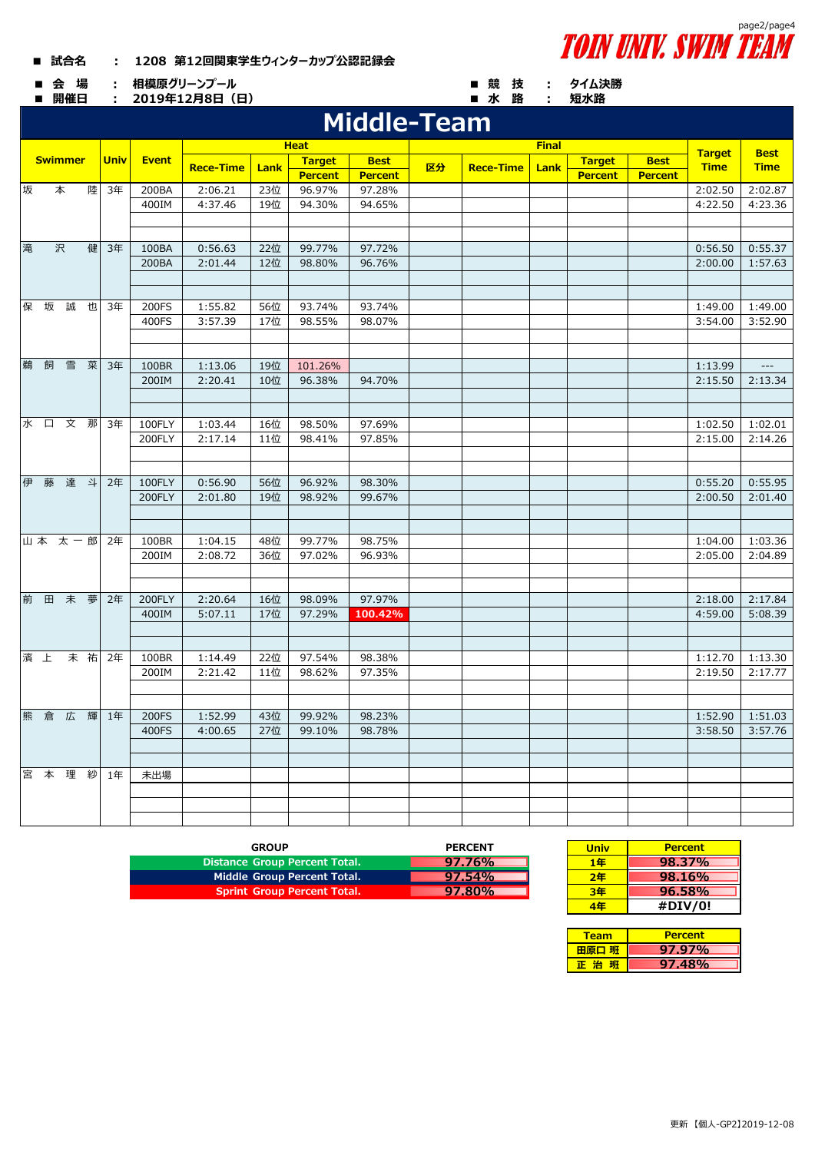## **■ 試合名 : 1208 第12回関東学生ウィンターカップ公認記録会**

**■ 会 場 : ■ 競 技 : 相模原グリーンプール**

|  |  | page2/page4<br><b>TOIN UNIV. SWIM TEAM</b> |
|--|--|--------------------------------------------|
|  |  | ■ 競 技  :  タイム決勝                            |

|   | ■ 開催日          |     |    | ÷           |              | 2019年12月8日 (日)   |            |                   |                    |    | ■ 水 路            | ÷.   | 短水路            |                |                              |                     |
|---|----------------|-----|----|-------------|--------------|------------------|------------|-------------------|--------------------|----|------------------|------|----------------|----------------|------------------------------|---------------------|
|   |                |     |    |             |              |                  |            |                   | <b>Middle-Team</b> |    |                  |      |                |                |                              |                     |
|   |                |     |    |             |              |                  |            | <b>Heat</b>       |                    |    | <b>Final</b>     |      |                |                |                              | <b>Best</b>         |
|   | <b>Swimmer</b> |     |    | <b>Univ</b> | <b>Event</b> | <b>Rece-Time</b> |            | <b>Target</b>     | <b>Best</b>        | 区分 | <b>Rece-Time</b> |      | <b>Target</b>  | <b>Best</b>    | <b>Target</b><br><b>Time</b> | <b>Time</b>         |
|   |                |     |    |             |              |                  | Lank       | <b>Percent</b>    | <b>Percent</b>     |    |                  | Lank | <b>Percent</b> | <b>Percent</b> |                              |                     |
| 坂 |                | 本   | 陸  | 3年          | 200BA        | 2:06.21          | 23位        | 96.97%            | 97.28%             |    |                  |      |                |                | 2:02.50                      | 2:02.87             |
|   |                |     |    |             | 400IM        | 4:37.46          | 19位        | 94.30%            | 94.65%             |    |                  |      |                |                | 4:22.50                      | 4:23.36             |
|   |                |     |    |             |              |                  |            |                   |                    |    |                  |      |                |                |                              |                     |
|   |                |     |    |             |              |                  |            |                   |                    |    |                  |      |                |                |                              |                     |
| 滝 |                | 沢   | 健  | 3年          | 100BA        | 0:56.63          | 22位        | 99.77%            | 97.72%             |    |                  |      |                |                | 0:56.50                      | 0:55.37             |
|   |                |     |    |             | 200BA        | 2:01.44          | 12位        | 98.80%            | 96.76%             |    |                  |      |                |                | 2:00.00                      | 1:57.63             |
|   |                |     |    |             |              |                  |            |                   |                    |    |                  |      |                |                |                              |                     |
|   |                |     |    |             |              |                  |            |                   |                    |    |                  |      |                |                |                              |                     |
|   | 保 坂            | 誠   | 也  | 3年          | 200FS        | 1:55.82          | 56位        | 93.74%            | 93.74%             |    |                  |      |                |                | 1:49.00                      | 1:49.00             |
|   |                |     |    |             | 400FS        | 3:57.39          | 17位        | 98.55%            | 98.07%             |    |                  |      |                |                | 3:54.00                      | 3:52.90             |
|   |                |     |    |             |              |                  |            |                   |                    |    |                  |      |                |                |                              |                     |
|   |                |     |    |             |              |                  |            |                   |                    |    |                  |      |                |                |                              |                     |
| 鵜 | 飼              | 雪   | 菜  | 3年          | 100BR        | 1:13.06          | 19位<br>10位 | 101.26%<br>96.38% |                    |    |                  |      |                |                | 1:13.99                      | ---                 |
|   |                |     |    |             | 200IM        | 2:20.41          |            |                   | 94.70%             |    |                  |      |                |                | 2:15.50                      | 2:13.34             |
|   |                |     |    |             |              |                  |            |                   |                    |    |                  |      |                |                |                              |                     |
|   | 水口文那           |     |    | 3年          | 100FLY       | 1:03.44          | 16位        | 98.50%            | 97.69%             |    |                  |      |                |                | 1:02.50                      | 1:02.01             |
|   |                |     |    |             | 200FLY       | 2:17.14          | 11位        | 98.41%            | 97.85%             |    |                  |      |                |                | 2:15.00                      | 2:14.26             |
|   |                |     |    |             |              |                  |            |                   |                    |    |                  |      |                |                |                              |                     |
|   |                |     |    |             |              |                  |            |                   |                    |    |                  |      |                |                |                              |                     |
|   | 伊 藤            | 達 斗 |    | 2年          | 100FLY       | 0:56.90          | 56位        | 96.92%            | 98.30%             |    |                  |      |                |                | 0:55.20                      | 0:55.95             |
|   |                |     |    |             | 200FLY       | 2:01.80          | 19位        | 98.92%            | 99.67%             |    |                  |      |                |                | 2:00.50                      | 2:01.40             |
|   |                |     |    |             |              |                  |            |                   |                    |    |                  |      |                |                |                              |                     |
|   |                |     |    |             |              |                  |            |                   |                    |    |                  |      |                |                |                              |                     |
|   | 山本 太一郎         |     |    | 2年          | 100BR        | 1:04.15          | 48位        | 99.77%            | 98.75%             |    |                  |      |                |                | 1:04.00                      | 1:03.36             |
|   |                |     |    |             | 200IM        | 2:08.72          | 36位        | 97.02%            | 96.93%             |    |                  |      |                |                | 2:05.00                      | 2:04.89             |
|   |                |     |    |             |              |                  |            |                   |                    |    |                  |      |                |                |                              |                     |
|   |                |     |    |             |              |                  |            |                   |                    |    |                  |      |                |                |                              |                     |
| 前 | 田              | 未   | 夢  | 2年          | 200FLY       | 2:20.64          | 16位        | 98.09%            | 97.97%             |    |                  |      |                |                | 2:18.00                      | 2:17.84             |
|   |                |     |    |             | 400IM        | 5:07.11          | 17位        | 97.29%            | 100.42%            |    |                  |      |                |                | 4:59.00                      | 5:08.39             |
|   |                |     |    |             |              |                  |            |                   |                    |    |                  |      |                |                |                              |                     |
|   | 濱上             |     | 未祐 | 2年          | 100BR        | 1:14.49          | 22位        | 97.54%            | 98.38%             |    |                  |      |                |                | 1:12.70                      |                     |
|   |                |     |    |             | 200IM        | 2:21.42          | 11位        | 98.62%            | 97.35%             |    |                  |      |                |                | 2:19.50                      | 1:13.30<br>2:17.77  |
|   |                |     |    |             |              |                  |            |                   |                    |    |                  |      |                |                |                              |                     |
|   |                |     |    |             |              |                  |            |                   |                    |    |                  |      |                |                |                              |                     |
|   |                |     |    | 熊 倉 広 輝 1年  | 200FS        | 1:52.99          | 43位        | 99.92%            | 98.23%             |    |                  |      |                |                |                              | $1:52.90$   1:51.03 |
|   |                |     |    |             | 400FS        | 4:00.65          | 27位        | 99.10%            | 98.78%             |    |                  |      |                |                | 3:58.50                      | 3:57.76             |
|   |                |     |    |             |              |                  |            |                   |                    |    |                  |      |                |                |                              |                     |
|   |                |     |    |             |              |                  |            |                   |                    |    |                  |      |                |                |                              |                     |
|   |                |     |    | 宮本理 紗 1年    | 未出場          |                  |            |                   |                    |    |                  |      |                |                |                              |                     |
|   |                |     |    |             |              |                  |            |                   |                    |    |                  |      |                |                |                              |                     |
|   |                |     |    |             |              |                  |            |                   |                    |    |                  |      |                |                |                              |                     |
|   |                |     |    |             |              |                  |            |                   |                    |    |                  |      |                |                |                              |                     |

| <b>GROUP</b>                       | <b>PERCENT</b> | <b>Univ</b> | <b>Percent</b> |
|------------------------------------|----------------|-------------|----------------|
| Distance Group Percent Total.      | 97.76%         | 1年          | 98.37%         |
| Middle Group Percent Total.        | 97.54%         | 2年          | 98.16%         |
| <b>Sprint Group Percent Total.</b> | $97.80\%$      | 3年          | 96.58%         |
|                                    |                |             |                |

| <b>PERCENT</b> | <b>Univ</b> | <b>Percent</b> |
|----------------|-------------|----------------|
| $97.76\%$      | 1年          | 98.37%         |
| 97.54%         | 2年          | 98.16%         |
| <b>97.80%</b>  | 3年          | $96.58\%$      |
|                | 佢           | #DIV/0!        |

| Team  | <b>Percent</b> |
|-------|----------------|
| 田原口 班 | 97.97%         |
| 一治    | <b>97.48%</b>  |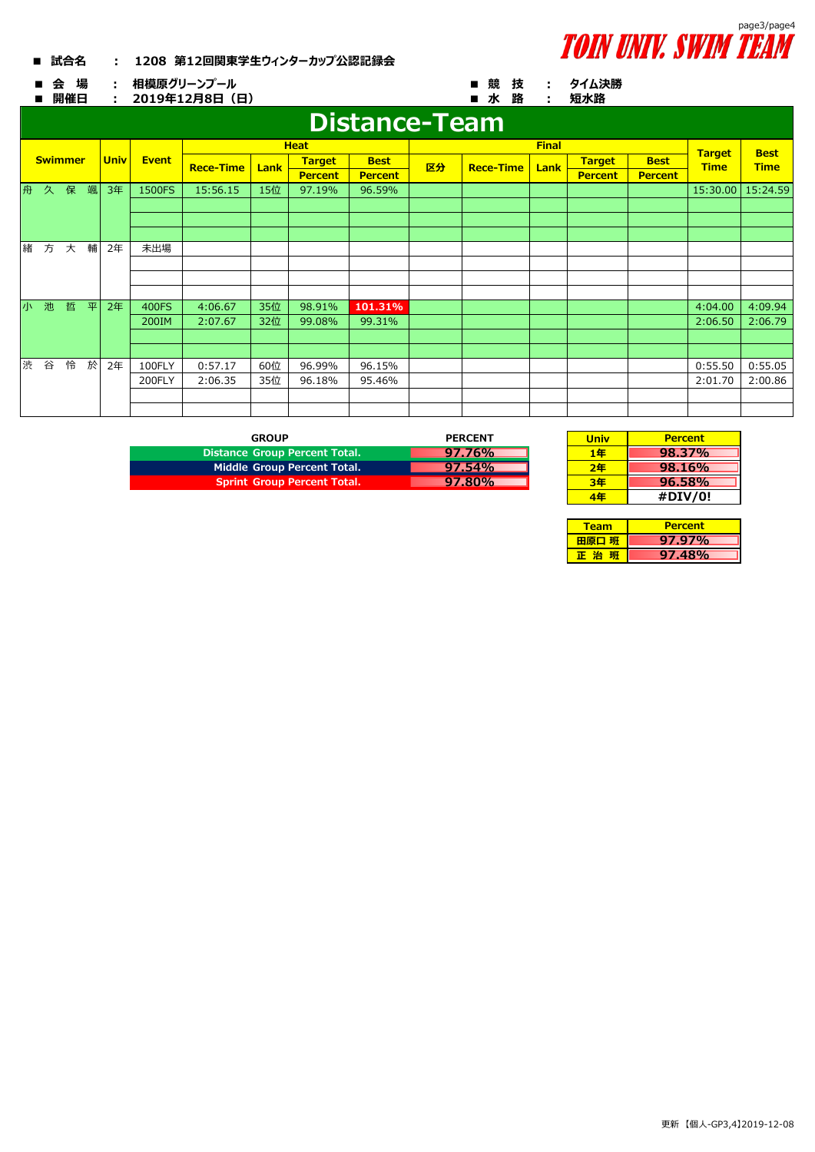## **■ 試合名 : 1208 第12回関東学生ウィンターカップ公認記録会**



**2019年12月8日(日)**

|   |                | 開催日                  | 2019年12月8日 (日)<br>÷ |             |              |                  |      |                |                | ■水<br>路<br>短水路<br>÷ |                  |              |                |                |               |             |
|---|----------------|----------------------|---------------------|-------------|--------------|------------------|------|----------------|----------------|---------------------|------------------|--------------|----------------|----------------|---------------|-------------|
|   |                | <b>Distance-Team</b> |                     |             |              |                  |      |                |                |                     |                  |              |                |                |               |             |
|   |                |                      |                     |             |              |                  |      | <b>Heat</b>    |                |                     |                  | <b>Final</b> |                |                | <b>Target</b> | <b>Best</b> |
|   | <b>Swimmer</b> |                      |                     | <b>Univ</b> | <b>Event</b> | <b>Rece-Time</b> | Lank | <b>Target</b>  | <b>Best</b>    | 区分                  | <b>Rece-Time</b> | Lank         | <b>Target</b>  | <b>Best</b>    | <b>Time</b>   | <b>Time</b> |
|   |                |                      |                     |             |              |                  |      | <b>Percent</b> | <b>Percent</b> |                     |                  |              | <b>Percent</b> | <b>Percent</b> |               |             |
| 舟 | 久              | 保                    | 颯                   | 3年          | 1500FS       | 15:56.15         | 15位  | 97.19%         | 96.59%         |                     |                  |              |                |                | 15:30.00      | 15:24.59    |
|   |                |                      |                     |             |              |                  |      |                |                |                     |                  |              |                |                |               |             |
|   |                |                      |                     |             |              |                  |      |                |                |                     |                  |              |                |                |               |             |
|   |                |                      |                     |             |              |                  |      |                |                |                     |                  |              |                |                |               |             |
| 緒 | 方              | 大                    | 輔                   | 2年          | 未出場          |                  |      |                |                |                     |                  |              |                |                |               |             |
|   |                |                      |                     |             |              |                  |      |                |                |                     |                  |              |                |                |               |             |
|   |                |                      |                     |             |              |                  |      |                |                |                     |                  |              |                |                |               |             |
|   |                |                      |                     |             |              |                  |      |                |                |                     |                  |              |                |                |               |             |
| 小 | 池              | 哲                    | 平                   | 2年          | 400FS        | 4:06.67          | 35位  | 98.91%         | 101.31%        |                     |                  |              |                |                | 4:04.00       | 4:09.94     |
|   |                |                      |                     |             | 200IM        | 2:07.67          | 32位  | 99.08%         | 99.31%         |                     |                  |              |                |                | 2:06.50       | 2:06.79     |
|   |                |                      |                     |             |              |                  |      |                |                |                     |                  |              |                |                |               |             |
|   |                |                      |                     |             |              |                  |      |                |                |                     |                  |              |                |                |               |             |
| 渋 | 谷              | 怜                    | 於                   | 2年          | 100FLY       | 0:57.17          | 60位  | 96.99%         | 96.15%         |                     |                  |              |                |                | 0:55.50       | 0:55.05     |
|   |                |                      |                     |             | 200FLY       | 2:06.35          | 35位  | 96.18%         | 95.46%         |                     |                  |              |                |                | 2:01.70       | 2:00.86     |
|   |                |                      |                     |             |              |                  |      |                |                |                     |                  |              |                |                |               |             |
|   |                |                      |                     |             |              |                  |      |                |                |                     |                  |              |                |                |               |             |

| GROUP                              | <b>PERCENT</b> |
|------------------------------------|----------------|
| Distance Group Percent Total.      | 97.76%         |
| Middle Group Percent Total.        | $97.54\%$      |
| <b>Sprint Group Percent Total.</b> | 97.80%         |

| <b>PERCENT</b> | <b>Univ</b> | <b>Percent</b> |
|----------------|-------------|----------------|
| 97.76%         | 1年          | 98.37%         |
| 97.54%         | 2年          | 98.16%         |
| 97.80%         | 3年          | $96.58\%$      |
|                | Æ           | #DIV/0!        |

| Team     | <b>Percent</b> |  |  |  |  |
|----------|----------------|--|--|--|--|
| 田原口 班    | 97.97%         |  |  |  |  |
| яπ<br>E治 | 97.48%         |  |  |  |  |



**タイム決勝**